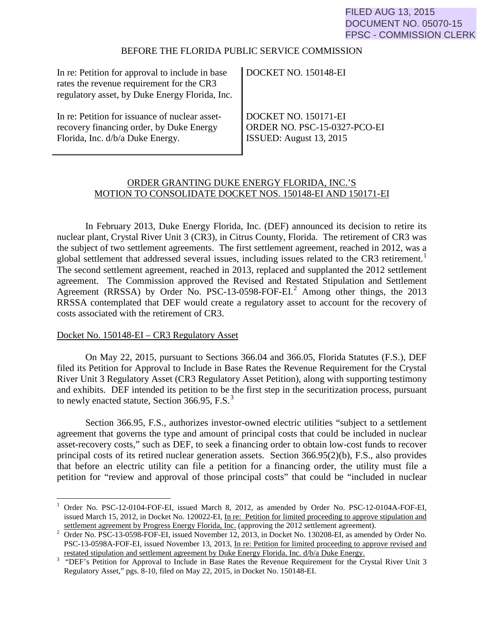### BEFORE THE FLORIDA PUBLIC SERVICE COMMISSION

| In re: Petition for approval to include in base<br>rates the revenue requirement for the CR3<br>regulatory asset, by Duke Energy Florida, Inc. | DOCKET NO. 150148-EI         |
|------------------------------------------------------------------------------------------------------------------------------------------------|------------------------------|
| In re: Petition for issuance of nuclear asset-                                                                                                 | DOCKET NO. 150171-EI         |
| recovery financing order, by Duke Energy                                                                                                       | ORDER NO. PSC-15-0327-PCO-EI |
| Florida, Inc. d/b/a Duke Energy.                                                                                                               | ISSUED: August 13, 2015      |

# ORDER GRANTING DUKE ENERGY FLORIDA, INC.'S MOTION TO CONSOLIDATE DOCKET NOS. 150148-EI AND 150171-EI

In February 2013, Duke Energy Florida, Inc. (DEF) announced its decision to retire its nuclear plant, Crystal River Unit 3 (CR3), in Citrus County, Florida. The retirement of CR3 was the subject of two settlement agreements. The first settlement agreement, reached in 2012, was a global settlement that addressed several issues, including issues related to the CR3 retirement.<sup>[1](#page-0-0)</sup> The second settlement agreement, reached in 2013, replaced and supplanted the 2012 settlement agreement. The Commission approved the Revised and Restated Stipulation and Settlement Agreement (RRSSA) by Order No. PSC-13-0598-FOF-EI. [2](#page-0-1) Among other things, the 2013 RRSSA contemplated that DEF would create a regulatory asset to account for the recovery of costs associated with the retirement of CR3.

## Docket No. 150148-EI – CR3 Regulatory Asset

 On May 22, 2015, pursuant to Sections 366.04 and 366.05, Florida Statutes (F.S.), DEF filed its Petition for Approval to Include in Base Rates the Revenue Requirement for the Crystal River Unit 3 Regulatory Asset (CR3 Regulatory Asset Petition), along with supporting testimony and exhibits. DEF intended its petition to be the first step in the securitization process, pursuant to newly enacted statute, Section  $366.95$  $366.95$ , F.S.<sup>3</sup>

Section 366.95, F.S., authorizes investor-owned electric utilities "subject to a settlement agreement that governs the type and amount of principal costs that could be included in nuclear asset-recovery costs," such as DEF, to seek a financing order to obtain low-cost funds to recover principal costs of its retired nuclear generation assets. Section 366.95(2)(b), F.S., also provides that before an electric utility can file a petition for a financing order, the utility must file a petition for "review and approval of those principal costs" that could be "included in nuclear

<span id="page-0-0"></span> $\overline{a}$ <sup>1</sup> Order No. PSC-12-0104-FOF-EI, issued March 8, 2012, as amended by Order No. PSC-12-0104A-FOF-EI, issued March 15, 2012, in Docket No. 120022-EI, In re: Petition for limited proceeding to approve stipulation and

<span id="page-0-1"></span><sup>&</sup>lt;sup>2</sup> Settlement agreement by Progress Energy Florida, Inc. (approving the 2012 settlement agreement).<br><sup>2</sup> Order No. PSC-13-0598-FOF-EI, issued November 12, 2013, in Docket No. 130208-EI, as amended by Order No. PSC-13-0598A-FOF-EI, issued November 13, 2013, <u>In re: Petition for limited proceeding to approve revised and</u> restated stipulation and settlement agreement by Duke Energy Florida, Inc.  $d/b/a$  Duke Energy.

<span id="page-0-2"></span><sup>&</sup>lt;sup>3</sup> "Estated stipulation and settlement agreement by Duke Energy Florida, Inc. d/b/a Duke Energy.<br><sup>3</sup> "DEF's Petition for Approval to Include in Base Rates the Revenue Requirement for the Crystal River Unit 3 Regulatory Asset," pgs. 8-10, filed on May 22, 2015, in Docket No. 150148-EI.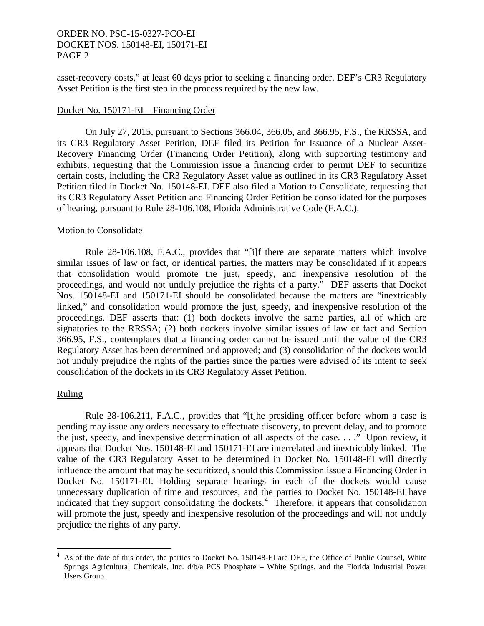asset-recovery costs," at least 60 days prior to seeking a financing order. DEF's CR3 Regulatory Asset Petition is the first step in the process required by the new law.

#### Docket No. 150171-EI – Financing Order

On July 27, 2015, pursuant to Sections 366.04, 366.05, and 366.95, F.S., the RRSSA, and its CR3 Regulatory Asset Petition, DEF filed its Petition for Issuance of a Nuclear Asset-Recovery Financing Order (Financing Order Petition), along with supporting testimony and exhibits, requesting that the Commission issue a financing order to permit DEF to securitize certain costs, including the CR3 Regulatory Asset value as outlined in its CR3 Regulatory Asset Petition filed in Docket No. 150148-EI. DEF also filed a Motion to Consolidate, requesting that its CR3 Regulatory Asset Petition and Financing Order Petition be consolidated for the purposes of hearing, pursuant to Rule 28-106.108, Florida Administrative Code (F.A.C.).

### Motion to Consolidate

Rule 28-106.108, F.A.C., provides that "[i]f there are separate matters which involve similar issues of law or fact, or identical parties, the matters may be consolidated if it appears that consolidation would promote the just, speedy, and inexpensive resolution of the proceedings, and would not unduly prejudice the rights of a party." DEF asserts that Docket Nos. 150148-EI and 150171-EI should be consolidated because the matters are "inextricably linked," and consolidation would promote the just, speedy, and inexpensive resolution of the proceedings. DEF asserts that: (1) both dockets involve the same parties, all of which are signatories to the RRSSA; (2) both dockets involve similar issues of law or fact and Section 366.95, F.S., contemplates that a financing order cannot be issued until the value of the CR3 Regulatory Asset has been determined and approved; and (3) consolidation of the dockets would not unduly prejudice the rights of the parties since the parties were advised of its intent to seek consolidation of the dockets in its CR3 Regulatory Asset Petition.

### Ruling

Rule 28-106.211, F.A.C., provides that "[t]he presiding officer before whom a case is pending may issue any orders necessary to effectuate discovery, to prevent delay, and to promote the just, speedy, and inexpensive determination of all aspects of the case. . . ." Upon review, it appears that Docket Nos. 150148-EI and 150171-EI are interrelated and inextricably linked. The value of the CR3 Regulatory Asset to be determined in Docket No. 150148-EI will directly influence the amount that may be securitized, should this Commission issue a Financing Order in Docket No. 150171-EI. Holding separate hearings in each of the dockets would cause unnecessary duplication of time and resources, and the parties to Docket No. 150148-EI have indicated that they support consolidating the dockets.<sup>[4](#page-1-0)</sup> Therefore, it appears that consolidation will promote the just, speedy and inexpensive resolution of the proceedings and will not unduly prejudice the rights of any party.

<span id="page-1-0"></span> $\overline{a}$ 4 As of the date of this order, the parties to Docket No. 150148-EI are DEF, the Office of Public Counsel, White Springs Agricultural Chemicals, Inc. d/b/a PCS Phosphate – White Springs, and the Florida Industrial Power Users Group.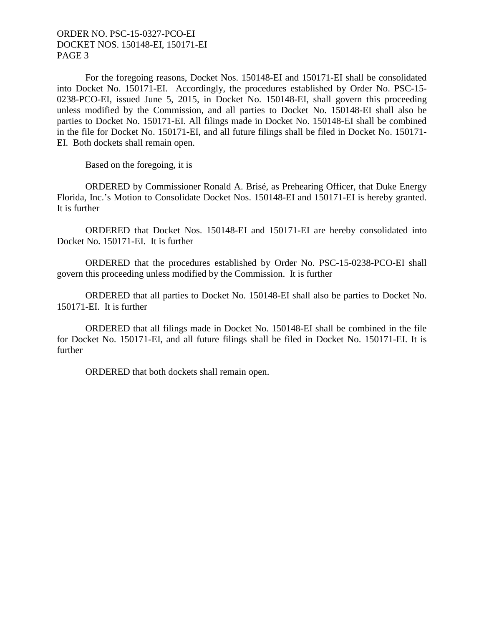For the foregoing reasons, Docket Nos. 150148-EI and 150171-EI shall be consolidated into Docket No. 150171-EI. Accordingly, the procedures established by Order No. PSC-15- 0238-PCO-EI, issued June 5, 2015, in Docket No. 150148-EI, shall govern this proceeding unless modified by the Commission, and all parties to Docket No. 150148-EI shall also be parties to Docket No. 150171-EI. All filings made in Docket No. 150148-EI shall be combined in the file for Docket No. 150171-EI, and all future filings shall be filed in Docket No. 150171- EI. Both dockets shall remain open.

Based on the foregoing, it is

ORDERED by Commissioner Ronald A. Brisé, as Prehearing Officer, that Duke Energy Florida, Inc.'s Motion to Consolidate Docket Nos. 150148-EI and 150171-EI is hereby granted. It is further

ORDERED that Docket Nos. 150148-EI and 150171-EI are hereby consolidated into Docket No. 150171-EI. It is further

ORDERED that the procedures established by Order No. PSC-15-0238-PCO-EI shall govern this proceeding unless modified by the Commission. It is further

ORDERED that all parties to Docket No. 150148-EI shall also be parties to Docket No. 150171-EI. It is further

ORDERED that all filings made in Docket No. 150148-EI shall be combined in the file for Docket No. 150171-EI, and all future filings shall be filed in Docket No. 150171-EI. It is further

ORDERED that both dockets shall remain open.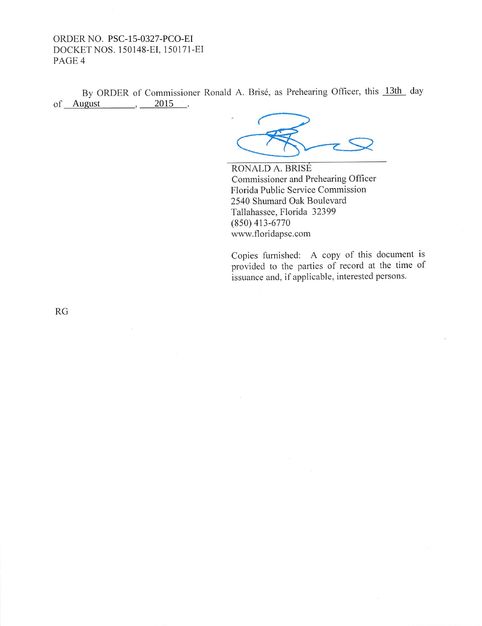By ORDER of Commissioner Ronald A. Brisé, as Prehearing Officer, this 13th day  $of$   $\_\$ {August},  $\_\_$  $2015$ .

RONALD A. BRISÉ Commissioner and Prehearing Officer Florida Public Service Commission 2540 Shumard Oak Boulevard Tallahassee, Florida 32399  $(850)$  413-6770 www.floridapsc.com

Copies furnished: A copy of this document is provided to the parties of record at the time of issuance and, if applicable, interested persons.

 $RG$